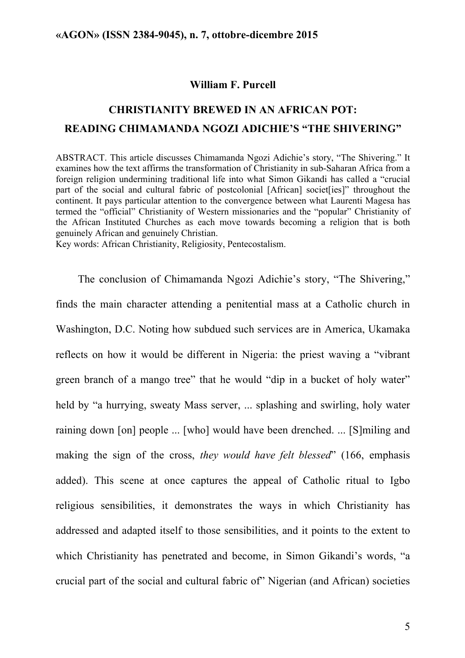#### **William F. Purcell**

# **CHRISTIANITY BREWED IN AN AFRICAN POT: READING CHIMAMANDA NGOZI ADICHIE'S "THE SHIVERING"**

ABSTRACT. This article discusses Chimamanda Ngozi Adichie's story, "The Shivering." It examines how the text affirms the transformation of Christianity in sub-Saharan Africa from a foreign religion undermining traditional life into what Simon Gikandi has called a "crucial part of the social and cultural fabric of postcolonial [African] societ[ies]" throughout the continent. It pays particular attention to the convergence between what Laurenti Magesa has termed the "official" Christianity of Western missionaries and the "popular" Christianity of the African Instituted Churches as each move towards becoming a religion that is both genuinely African and genuinely Christian.

Key words: African Christianity, Religiosity, Pentecostalism.

The conclusion of Chimamanda Ngozi Adichie's story, "The Shivering," finds the main character attending a penitential mass at a Catholic church in Washington, D.C. Noting how subdued such services are in America, Ukamaka reflects on how it would be different in Nigeria: the priest waving a "vibrant green branch of a mango tree" that he would "dip in a bucket of holy water" held by "a hurrying, sweaty Mass server, ... splashing and swirling, holy water raining down [on] people ... [who] would have been drenched. ... [S]miling and making the sign of the cross, *they would have felt blessed*" (166, emphasis added). This scene at once captures the appeal of Catholic ritual to Igbo religious sensibilities, it demonstrates the ways in which Christianity has addressed and adapted itself to those sensibilities, and it points to the extent to which Christianity has penetrated and become, in Simon Gikandi's words, "a crucial part of the social and cultural fabric of" Nigerian (and African) societies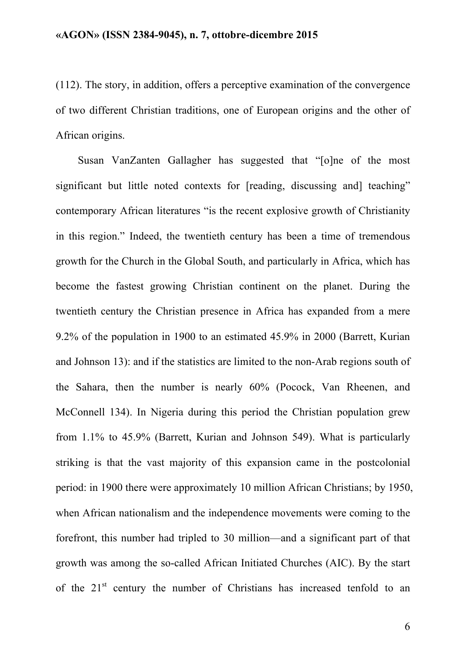(112). The story, in addition, offers a perceptive examination of the convergence of two different Christian traditions, one of European origins and the other of African origins.

Susan VanZanten Gallagher has suggested that "[o]ne of the most significant but little noted contexts for [reading, discussing and] teaching" contemporary African literatures "is the recent explosive growth of Christianity in this region." Indeed, the twentieth century has been a time of tremendous growth for the Church in the Global South, and particularly in Africa, which has become the fastest growing Christian continent on the planet. During the twentieth century the Christian presence in Africa has expanded from a mere 9.2% of the population in 1900 to an estimated 45.9% in 2000 (Barrett, Kurian and Johnson 13): and if the statistics are limited to the non-Arab regions south of the Sahara, then the number is nearly 60% (Pocock, Van Rheenen, and McConnell 134). In Nigeria during this period the Christian population grew from 1.1% to 45.9% (Barrett, Kurian and Johnson 549). What is particularly striking is that the vast majority of this expansion came in the postcolonial period: in 1900 there were approximately 10 million African Christians; by 1950, when African nationalism and the independence movements were coming to the forefront, this number had tripled to 30 million—and a significant part of that growth was among the so-called African Initiated Churches (AIC). By the start of the  $21<sup>st</sup>$  century the number of Christians has increased tenfold to an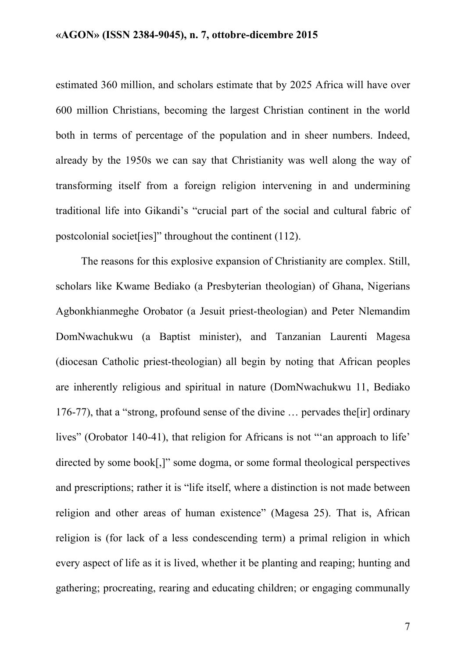estimated 360 million, and scholars estimate that by 2025 Africa will have over 600 million Christians, becoming the largest Christian continent in the world both in terms of percentage of the population and in sheer numbers. Indeed, already by the 1950s we can say that Christianity was well along the way of transforming itself from a foreign religion intervening in and undermining traditional life into Gikandi's "crucial part of the social and cultural fabric of postcolonial societ[ies]" throughout the continent (112).

The reasons for this explosive expansion of Christianity are complex. Still, scholars like Kwame Bediako (a Presbyterian theologian) of Ghana, Nigerians Agbonkhianmeghe Orobator (a Jesuit priest-theologian) and Peter Nlemandim DomNwachukwu (a Baptist minister), and Tanzanian Laurenti Magesa (diocesan Catholic priest-theologian) all begin by noting that African peoples are inherently religious and spiritual in nature (DomNwachukwu 11, Bediako 176-77), that a "strong, profound sense of the divine … pervades the[ir] ordinary lives" (Orobator 140-41), that religion for Africans is not "'an approach to life' directed by some book[,]" some dogma, or some formal theological perspectives and prescriptions; rather it is "life itself, where a distinction is not made between religion and other areas of human existence" (Magesa 25). That is, African religion is (for lack of a less condescending term) a primal religion in which every aspect of life as it is lived, whether it be planting and reaping; hunting and gathering; procreating, rearing and educating children; or engaging communally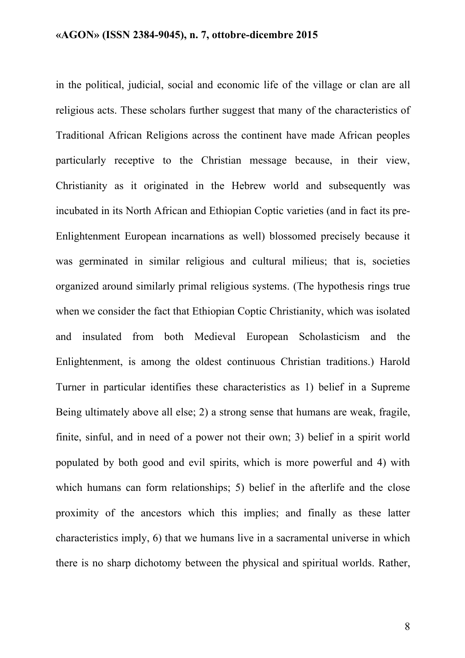in the political, judicial, social and economic life of the village or clan are all religious acts. These scholars further suggest that many of the characteristics of Traditional African Religions across the continent have made African peoples particularly receptive to the Christian message because, in their view, Christianity as it originated in the Hebrew world and subsequently was incubated in its North African and Ethiopian Coptic varieties (and in fact its pre-Enlightenment European incarnations as well) blossomed precisely because it was germinated in similar religious and cultural milieus; that is, societies organized around similarly primal religious systems. (The hypothesis rings true when we consider the fact that Ethiopian Coptic Christianity, which was isolated and insulated from both Medieval European Scholasticism and the Enlightenment, is among the oldest continuous Christian traditions.) Harold Turner in particular identifies these characteristics as 1) belief in a Supreme Being ultimately above all else; 2) a strong sense that humans are weak, fragile, finite, sinful, and in need of a power not their own; 3) belief in a spirit world populated by both good and evil spirits, which is more powerful and 4) with which humans can form relationships: 5) belief in the afterlife and the close proximity of the ancestors which this implies; and finally as these latter characteristics imply, 6) that we humans live in a sacramental universe in which there is no sharp dichotomy between the physical and spiritual worlds. Rather,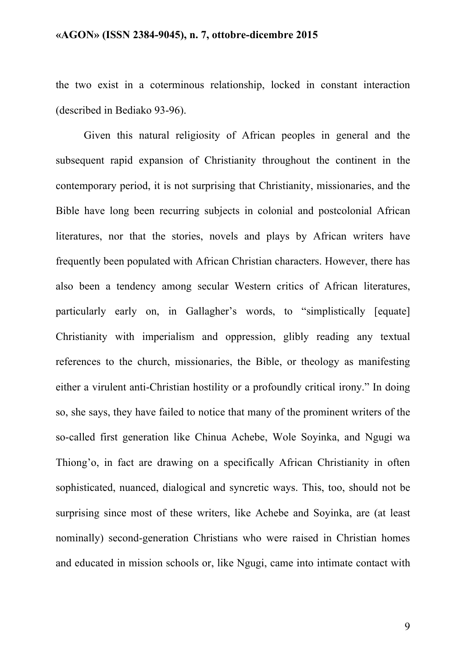the two exist in a coterminous relationship, locked in constant interaction (described in Bediako 93-96).

Given this natural religiosity of African peoples in general and the subsequent rapid expansion of Christianity throughout the continent in the contemporary period, it is not surprising that Christianity, missionaries, and the Bible have long been recurring subjects in colonial and postcolonial African literatures, nor that the stories, novels and plays by African writers have frequently been populated with African Christian characters. However, there has also been a tendency among secular Western critics of African literatures, particularly early on, in Gallagher's words, to "simplistically [equate] Christianity with imperialism and oppression, glibly reading any textual references to the church, missionaries, the Bible, or theology as manifesting either a virulent anti-Christian hostility or a profoundly critical irony." In doing so, she says, they have failed to notice that many of the prominent writers of the so-called first generation like Chinua Achebe, Wole Soyinka, and Ngugi wa Thiong'o, in fact are drawing on a specifically African Christianity in often sophisticated, nuanced, dialogical and syncretic ways. This, too, should not be surprising since most of these writers, like Achebe and Soyinka, are (at least nominally) second-generation Christians who were raised in Christian homes and educated in mission schools or, like Ngugi, came into intimate contact with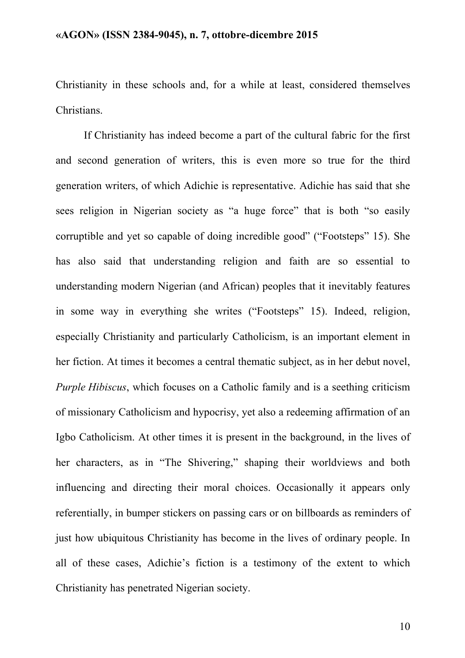Christianity in these schools and, for a while at least, considered themselves Christians.

If Christianity has indeed become a part of the cultural fabric for the first and second generation of writers, this is even more so true for the third generation writers, of which Adichie is representative. Adichie has said that she sees religion in Nigerian society as "a huge force" that is both "so easily corruptible and yet so capable of doing incredible good" ("Footsteps" 15). She has also said that understanding religion and faith are so essential to understanding modern Nigerian (and African) peoples that it inevitably features in some way in everything she writes ("Footsteps" 15). Indeed, religion, especially Christianity and particularly Catholicism, is an important element in her fiction. At times it becomes a central thematic subject, as in her debut novel, *Purple Hibiscus*, which focuses on a Catholic family and is a seething criticism of missionary Catholicism and hypocrisy, yet also a redeeming affirmation of an Igbo Catholicism. At other times it is present in the background, in the lives of her characters, as in "The Shivering," shaping their worldviews and both influencing and directing their moral choices. Occasionally it appears only referentially, in bumper stickers on passing cars or on billboards as reminders of just how ubiquitous Christianity has become in the lives of ordinary people. In all of these cases, Adichie's fiction is a testimony of the extent to which Christianity has penetrated Nigerian society.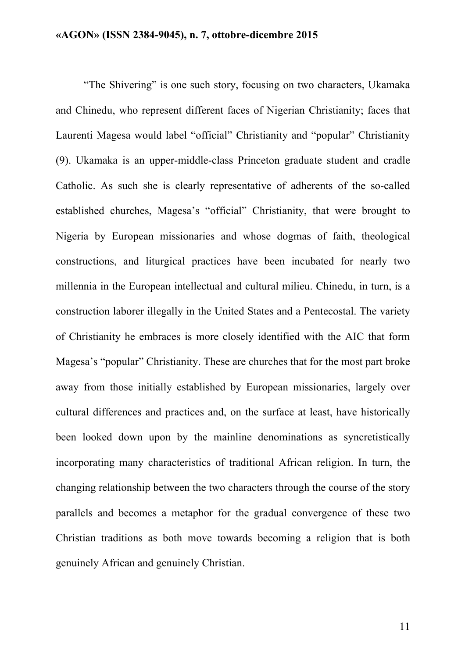"The Shivering" is one such story, focusing on two characters, Ukamaka and Chinedu, who represent different faces of Nigerian Christianity; faces that Laurenti Magesa would label "official" Christianity and "popular" Christianity (9). Ukamaka is an upper-middle-class Princeton graduate student and cradle Catholic. As such she is clearly representative of adherents of the so-called established churches, Magesa's "official" Christianity, that were brought to Nigeria by European missionaries and whose dogmas of faith, theological constructions, and liturgical practices have been incubated for nearly two millennia in the European intellectual and cultural milieu. Chinedu, in turn, is a construction laborer illegally in the United States and a Pentecostal. The variety of Christianity he embraces is more closely identified with the AIC that form Magesa's "popular" Christianity. These are churches that for the most part broke away from those initially established by European missionaries, largely over cultural differences and practices and, on the surface at least, have historically been looked down upon by the mainline denominations as syncretistically incorporating many characteristics of traditional African religion. In turn, the changing relationship between the two characters through the course of the story parallels and becomes a metaphor for the gradual convergence of these two Christian traditions as both move towards becoming a religion that is both genuinely African and genuinely Christian.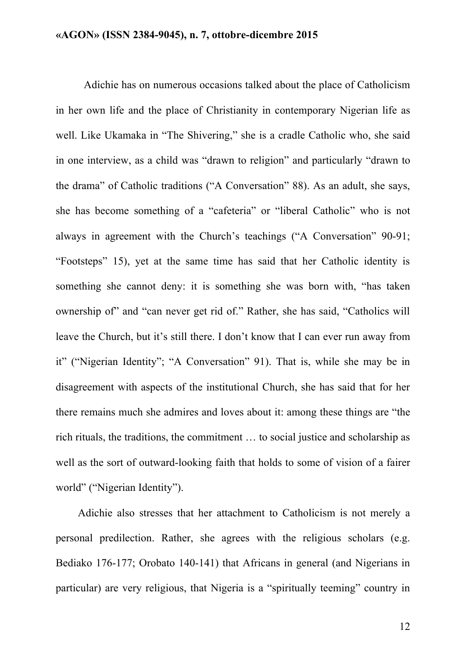Adichie has on numerous occasions talked about the place of Catholicism in her own life and the place of Christianity in contemporary Nigerian life as well. Like Ukamaka in "The Shivering," she is a cradle Catholic who, she said in one interview, as a child was "drawn to religion" and particularly "drawn to the drama" of Catholic traditions ("A Conversation" 88). As an adult, she says, she has become something of a "cafeteria" or "liberal Catholic" who is not always in agreement with the Church's teachings ("A Conversation" 90-91; "Footsteps" 15), yet at the same time has said that her Catholic identity is something she cannot deny: it is something she was born with, "has taken ownership of" and "can never get rid of." Rather, she has said, "Catholics will leave the Church, but it's still there. I don't know that I can ever run away from it" ("Nigerian Identity"; "A Conversation" 91). That is, while she may be in disagreement with aspects of the institutional Church, she has said that for her there remains much she admires and loves about it: among these things are "the rich rituals, the traditions, the commitment … to social justice and scholarship as well as the sort of outward-looking faith that holds to some of vision of a fairer world" ("Nigerian Identity").

Adichie also stresses that her attachment to Catholicism is not merely a personal predilection. Rather, she agrees with the religious scholars (e.g. Bediako 176-177; Orobato 140-141) that Africans in general (and Nigerians in particular) are very religious, that Nigeria is a "spiritually teeming" country in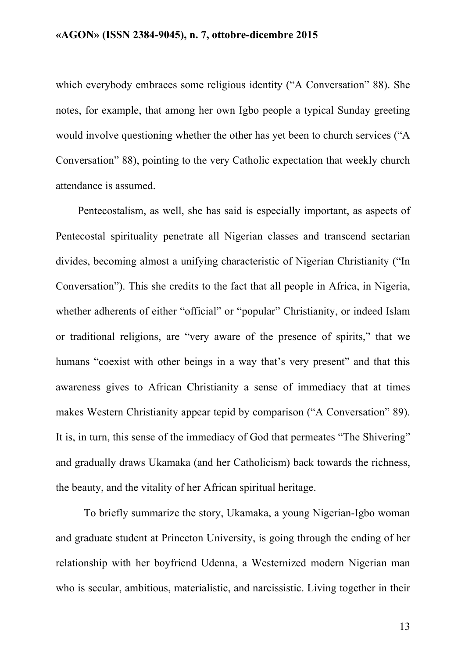which everybody embraces some religious identity ("A Conversation" 88). She notes, for example, that among her own Igbo people a typical Sunday greeting would involve questioning whether the other has yet been to church services ("A Conversation" 88), pointing to the very Catholic expectation that weekly church attendance is assumed.

Pentecostalism, as well, she has said is especially important, as aspects of Pentecostal spirituality penetrate all Nigerian classes and transcend sectarian divides, becoming almost a unifying characteristic of Nigerian Christianity ("In Conversation"). This she credits to the fact that all people in Africa, in Nigeria, whether adherents of either "official" or "popular" Christianity, or indeed Islam or traditional religions, are "very aware of the presence of spirits," that we humans "coexist with other beings in a way that's very present" and that this awareness gives to African Christianity a sense of immediacy that at times makes Western Christianity appear tepid by comparison ("A Conversation" 89). It is, in turn, this sense of the immediacy of God that permeates "The Shivering" and gradually draws Ukamaka (and her Catholicism) back towards the richness, the beauty, and the vitality of her African spiritual heritage.

To briefly summarize the story, Ukamaka, a young Nigerian-Igbo woman and graduate student at Princeton University, is going through the ending of her relationship with her boyfriend Udenna, a Westernized modern Nigerian man who is secular, ambitious, materialistic, and narcissistic. Living together in their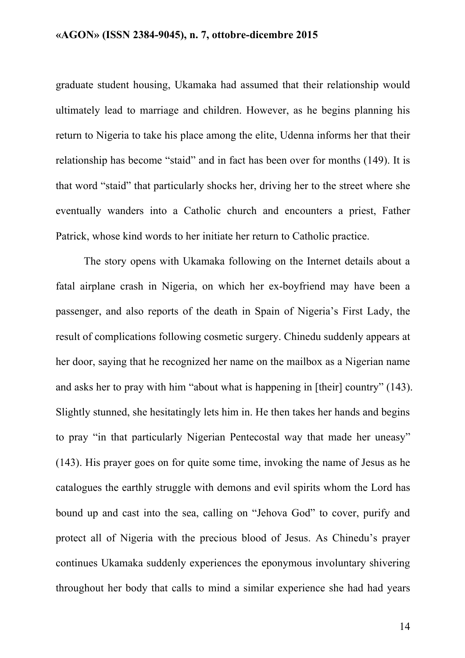graduate student housing, Ukamaka had assumed that their relationship would ultimately lead to marriage and children. However, as he begins planning his return to Nigeria to take his place among the elite, Udenna informs her that their relationship has become "staid" and in fact has been over for months (149). It is that word "staid" that particularly shocks her, driving her to the street where she eventually wanders into a Catholic church and encounters a priest, Father Patrick, whose kind words to her initiate her return to Catholic practice.

The story opens with Ukamaka following on the Internet details about a fatal airplane crash in Nigeria, on which her ex-boyfriend may have been a passenger, and also reports of the death in Spain of Nigeria's First Lady, the result of complications following cosmetic surgery. Chinedu suddenly appears at her door, saying that he recognized her name on the mailbox as a Nigerian name and asks her to pray with him "about what is happening in [their] country" (143). Slightly stunned, she hesitatingly lets him in. He then takes her hands and begins to pray "in that particularly Nigerian Pentecostal way that made her uneasy" (143). His prayer goes on for quite some time, invoking the name of Jesus as he catalogues the earthly struggle with demons and evil spirits whom the Lord has bound up and cast into the sea, calling on "Jehova God" to cover, purify and protect all of Nigeria with the precious blood of Jesus. As Chinedu's prayer continues Ukamaka suddenly experiences the eponymous involuntary shivering throughout her body that calls to mind a similar experience she had had years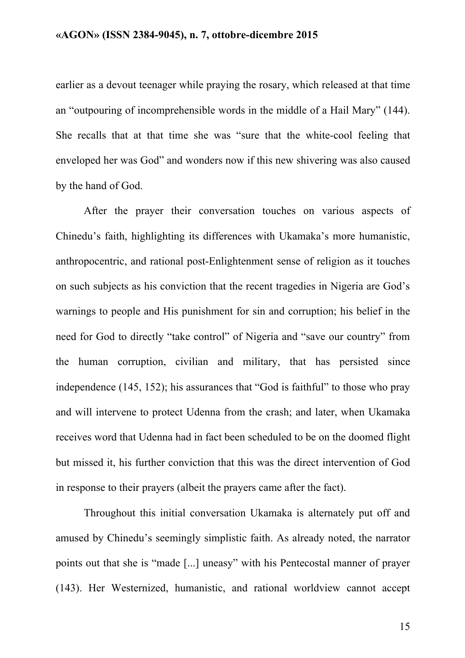earlier as a devout teenager while praying the rosary, which released at that time an "outpouring of incomprehensible words in the middle of a Hail Mary" (144). She recalls that at that time she was "sure that the white-cool feeling that enveloped her was God" and wonders now if this new shivering was also caused by the hand of God.

After the prayer their conversation touches on various aspects of Chinedu's faith, highlighting its differences with Ukamaka's more humanistic, anthropocentric, and rational post-Enlightenment sense of religion as it touches on such subjects as his conviction that the recent tragedies in Nigeria are God's warnings to people and His punishment for sin and corruption; his belief in the need for God to directly "take control" of Nigeria and "save our country" from the human corruption, civilian and military, that has persisted since independence (145, 152); his assurances that "God is faithful" to those who pray and will intervene to protect Udenna from the crash; and later, when Ukamaka receives word that Udenna had in fact been scheduled to be on the doomed flight but missed it, his further conviction that this was the direct intervention of God in response to their prayers (albeit the prayers came after the fact).

Throughout this initial conversation Ukamaka is alternately put off and amused by Chinedu's seemingly simplistic faith. As already noted, the narrator points out that she is "made [...] uneasy" with his Pentecostal manner of prayer (143). Her Westernized, humanistic, and rational worldview cannot accept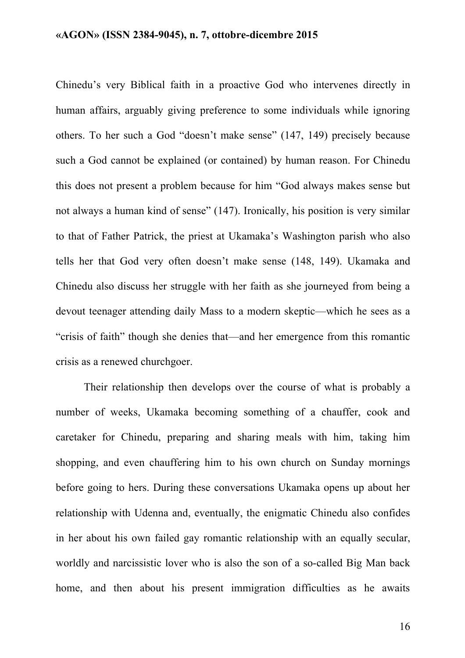Chinedu's very Biblical faith in a proactive God who intervenes directly in human affairs, arguably giving preference to some individuals while ignoring others. To her such a God "doesn't make sense" (147, 149) precisely because such a God cannot be explained (or contained) by human reason. For Chinedu this does not present a problem because for him "God always makes sense but not always a human kind of sense" (147). Ironically, his position is very similar to that of Father Patrick, the priest at Ukamaka's Washington parish who also tells her that God very often doesn't make sense (148, 149). Ukamaka and Chinedu also discuss her struggle with her faith as she journeyed from being a devout teenager attending daily Mass to a modern skeptic—which he sees as a "crisis of faith" though she denies that—and her emergence from this romantic crisis as a renewed churchgoer.

Their relationship then develops over the course of what is probably a number of weeks, Ukamaka becoming something of a chauffer, cook and caretaker for Chinedu, preparing and sharing meals with him, taking him shopping, and even chauffering him to his own church on Sunday mornings before going to hers. During these conversations Ukamaka opens up about her relationship with Udenna and, eventually, the enigmatic Chinedu also confides in her about his own failed gay romantic relationship with an equally secular, worldly and narcissistic lover who is also the son of a so-called Big Man back home, and then about his present immigration difficulties as he awaits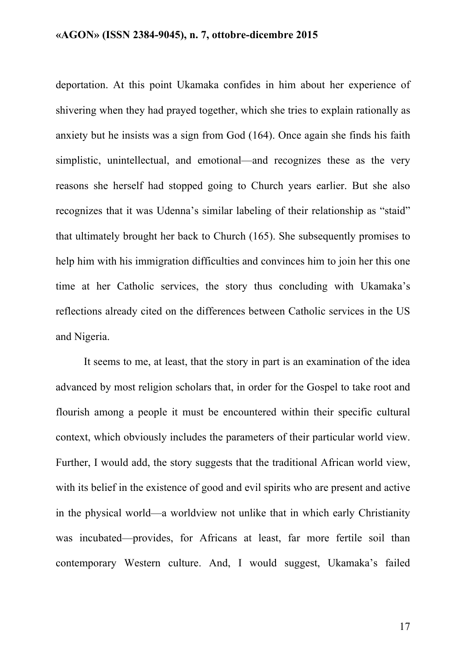deportation. At this point Ukamaka confides in him about her experience of shivering when they had prayed together, which she tries to explain rationally as anxiety but he insists was a sign from God (164). Once again she finds his faith simplistic, unintellectual, and emotional—and recognizes these as the very reasons she herself had stopped going to Church years earlier. But she also recognizes that it was Udenna's similar labeling of their relationship as "staid" that ultimately brought her back to Church (165). She subsequently promises to help him with his immigration difficulties and convinces him to join her this one time at her Catholic services, the story thus concluding with Ukamaka's reflections already cited on the differences between Catholic services in the US and Nigeria.

It seems to me, at least, that the story in part is an examination of the idea advanced by most religion scholars that, in order for the Gospel to take root and flourish among a people it must be encountered within their specific cultural context, which obviously includes the parameters of their particular world view. Further, I would add, the story suggests that the traditional African world view, with its belief in the existence of good and evil spirits who are present and active in the physical world—a worldview not unlike that in which early Christianity was incubated—provides, for Africans at least, far more fertile soil than contemporary Western culture. And, I would suggest, Ukamaka's failed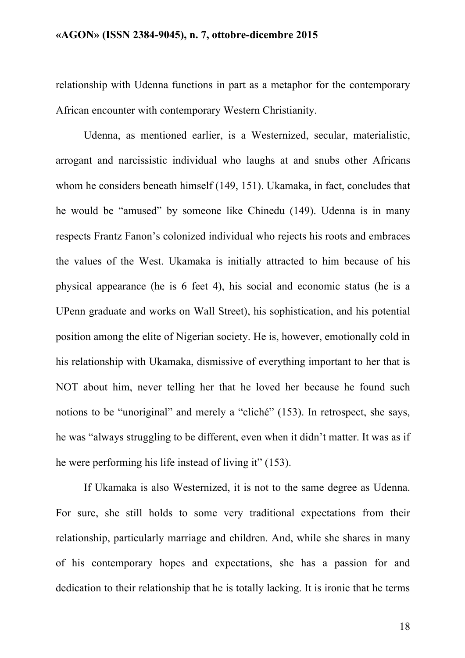relationship with Udenna functions in part as a metaphor for the contemporary African encounter with contemporary Western Christianity.

Udenna, as mentioned earlier, is a Westernized, secular, materialistic, arrogant and narcissistic individual who laughs at and snubs other Africans whom he considers beneath himself (149, 151). Ukamaka, in fact, concludes that he would be "amused" by someone like Chinedu (149). Udenna is in many respects Frantz Fanon's colonized individual who rejects his roots and embraces the values of the West. Ukamaka is initially attracted to him because of his physical appearance (he is 6 feet 4), his social and economic status (he is a UPenn graduate and works on Wall Street), his sophistication, and his potential position among the elite of Nigerian society. He is, however, emotionally cold in his relationship with Ukamaka, dismissive of everything important to her that is NOT about him, never telling her that he loved her because he found such notions to be "unoriginal" and merely a "cliché" (153). In retrospect, she says, he was "always struggling to be different, even when it didn't matter. It was as if he were performing his life instead of living it" (153).

If Ukamaka is also Westernized, it is not to the same degree as Udenna. For sure, she still holds to some very traditional expectations from their relationship, particularly marriage and children. And, while she shares in many of his contemporary hopes and expectations, she has a passion for and dedication to their relationship that he is totally lacking. It is ironic that he terms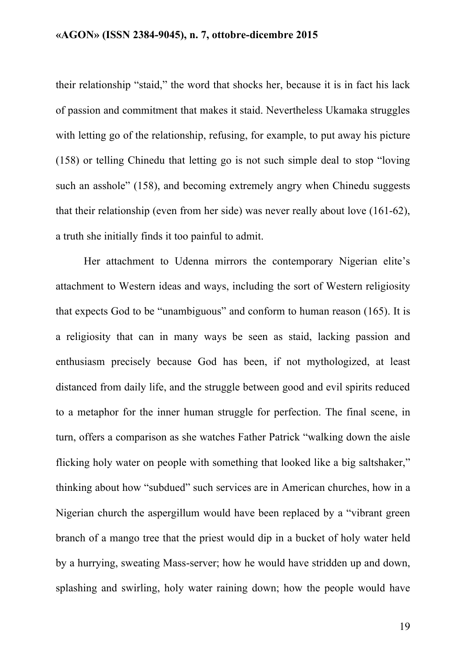their relationship "staid," the word that shocks her, because it is in fact his lack of passion and commitment that makes it staid. Nevertheless Ukamaka struggles with letting go of the relationship, refusing, for example, to put away his picture (158) or telling Chinedu that letting go is not such simple deal to stop "loving such an asshole" (158), and becoming extremely angry when Chinedu suggests that their relationship (even from her side) was never really about love (161-62), a truth she initially finds it too painful to admit.

Her attachment to Udenna mirrors the contemporary Nigerian elite's attachment to Western ideas and ways, including the sort of Western religiosity that expects God to be "unambiguous" and conform to human reason (165). It is a religiosity that can in many ways be seen as staid, lacking passion and enthusiasm precisely because God has been, if not mythologized, at least distanced from daily life, and the struggle between good and evil spirits reduced to a metaphor for the inner human struggle for perfection. The final scene, in turn, offers a comparison as she watches Father Patrick "walking down the aisle flicking holy water on people with something that looked like a big saltshaker," thinking about how "subdued" such services are in American churches, how in a Nigerian church the aspergillum would have been replaced by a "vibrant green branch of a mango tree that the priest would dip in a bucket of holy water held by a hurrying, sweating Mass-server; how he would have stridden up and down, splashing and swirling, holy water raining down; how the people would have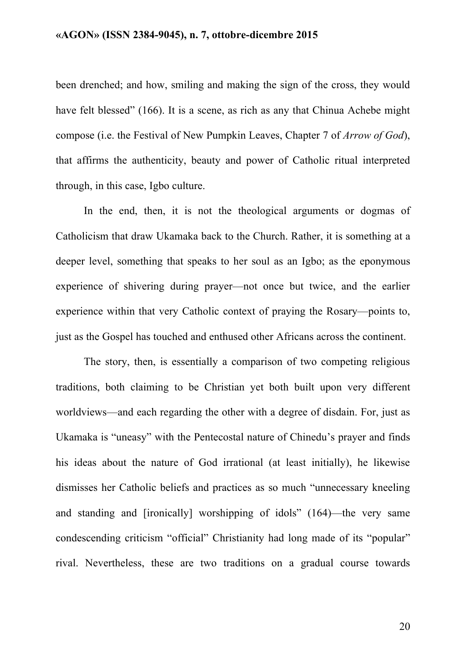been drenched; and how, smiling and making the sign of the cross, they would have felt blessed" (166). It is a scene, as rich as any that Chinua Achebe might compose (i.e. the Festival of New Pumpkin Leaves, Chapter 7 of *Arrow of God*), that affirms the authenticity, beauty and power of Catholic ritual interpreted through, in this case, Igbo culture.

In the end, then, it is not the theological arguments or dogmas of Catholicism that draw Ukamaka back to the Church. Rather, it is something at a deeper level, something that speaks to her soul as an Igbo; as the eponymous experience of shivering during prayer—not once but twice, and the earlier experience within that very Catholic context of praying the Rosary—points to, just as the Gospel has touched and enthused other Africans across the continent.

The story, then, is essentially a comparison of two competing religious traditions, both claiming to be Christian yet both built upon very different worldviews—and each regarding the other with a degree of disdain. For, just as Ukamaka is "uneasy" with the Pentecostal nature of Chinedu's prayer and finds his ideas about the nature of God irrational (at least initially), he likewise dismisses her Catholic beliefs and practices as so much "unnecessary kneeling and standing and [ironically] worshipping of idols" (164)—the very same condescending criticism "official" Christianity had long made of its "popular" rival. Nevertheless, these are two traditions on a gradual course towards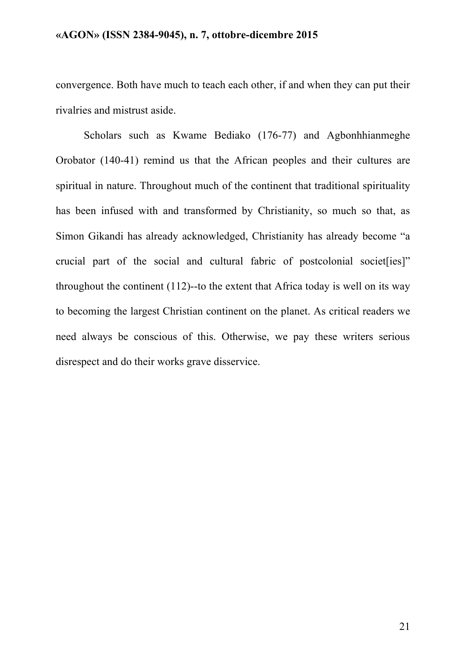convergence. Both have much to teach each other, if and when they can put their rivalries and mistrust aside.

Scholars such as Kwame Bediako (176-77) and Agbonhhianmeghe Orobator (140-41) remind us that the African peoples and their cultures are spiritual in nature. Throughout much of the continent that traditional spirituality has been infused with and transformed by Christianity, so much so that, as Simon Gikandi has already acknowledged, Christianity has already become "a crucial part of the social and cultural fabric of postcolonial societ [ies]" throughout the continent (112)--to the extent that Africa today is well on its way to becoming the largest Christian continent on the planet. As critical readers we need always be conscious of this. Otherwise, we pay these writers serious disrespect and do their works grave disservice.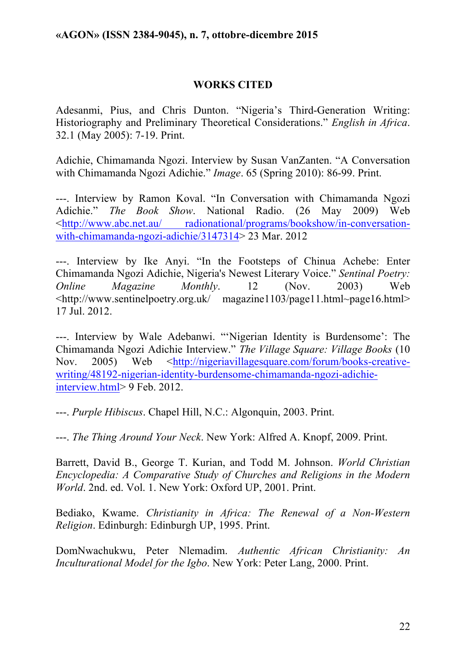## **WORKS CITED**

Adesanmi, Pius, and Chris Dunton. "Nigeria's Third-Generation Writing: Historiography and Preliminary Theoretical Considerations." *English in Africa*. 32.1 (May 2005): 7-19. Print.

Adichie, Chimamanda Ngozi. Interview by Susan VanZanten. "A Conversation with Chimamanda Ngozi Adichie." *Image*. 65 (Spring 2010): 86-99. Print.

---. Interview by Ramon Koval. "In Conversation with Chimamanda Ngozi Adichie." *The Book Show*. National Radio. (26 May 2009) Web <http://www.abc.net.au/ radionational/programs/bookshow/in-conversationwith-chimamanda-ngozi-adichie/3147314> 23 Mar. 2012

---. Interview by Ike Anyi. "In the Footsteps of Chinua Achebe: Enter Chimamanda Ngozi Adichie, Nigeria's Newest Literary Voice." *Sentinal Poetry: Online Magazine Monthly*. 12 (Nov. 2003) Web <http://www.sentinelpoetry.org.uk/ magazine1103/page11.html~page16.html> 17 Jul. 2012.

---. Interview by Wale Adebanwi. "'Nigerian Identity is Burdensome': The Chimamanda Ngozi Adichie Interview." *The Village Square: Village Books* (10 Nov. 2005) Web <http://nigeriavillagesquare.com/forum/books-creativewriting/48192-nigerian-identity-burdensome-chimamanda-ngozi-adichieinterview.html> 9 Feb. 2012.

---. *Purple Hibiscus*. Chapel Hill, N.C.: Algonquin, 2003. Print.

---. *The Thing Around Your Neck*. New York: Alfred A. Knopf, 2009. Print.

Barrett, David B., George T. Kurian, and Todd M. Johnson. *World Christian Encyclopedia: A Comparative Study of Churches and Religions in the Modern World*. 2nd. ed. Vol. 1. New York: Oxford UP, 2001. Print.

Bediako, Kwame. *Christianity in Africa: The Renewal of a Non-Western Religion*. Edinburgh: Edinburgh UP, 1995. Print.

DomNwachukwu, Peter Nlemadim. *Authentic African Christianity: An Inculturational Model for the Igbo*. New York: Peter Lang, 2000. Print.